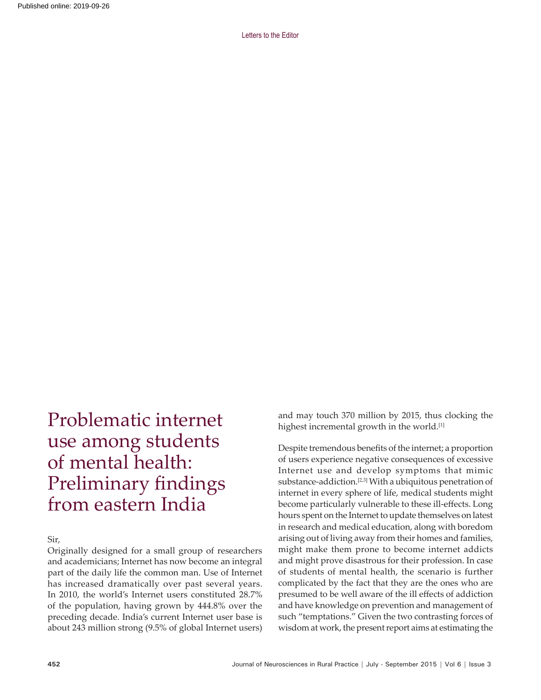Problematic internet use among students of mental health: Preliminary findings from eastern India

Sir,

Originally designed for a small group of researchers and academicians; Internet has now become an integral part of the daily life the common man. Use of Internet has increased dramatically over past several years. In 2010, the world's Internet users constituted 28.7% of the population, having grown by 444.8% over the preceding decade. India's current Internet user base is about 243 million strong (9.5% of global Internet users)

and may touch 370 million by 2015, thus clocking the highest incremental growth in the world.<sup>[1]</sup>

Despite tremendous benefits of the internet; a proportion of users experience negative consequences of excessive Internet use and develop symptoms that mimic substance-addiction.[2,3] With a ubiquitous penetration of internet in every sphere of life, medical students might become particularly vulnerable to these ill-effects. Long hours spent on the Internet to update themselves on latest in research and medical education, along with boredom arising out of living away from their homes and families, might make them prone to become internet addicts and might prove disastrous for their profession. In case of students of mental health, the scenario is further complicated by the fact that they are the ones who are presumed to be well aware of the ill effects of addiction and have knowledge on prevention and management of such "temptations." Given the two contrasting forces of wisdom at work, the present report aims at estimating the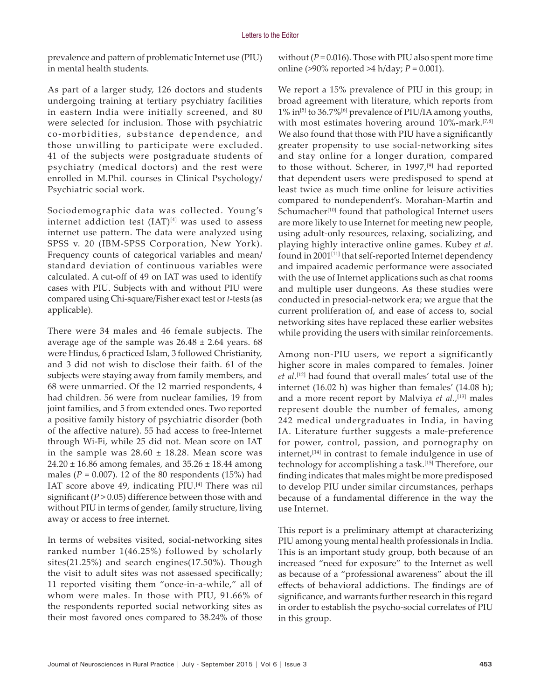prevalence and pattern of problematic Internet use (PIU) in mental health students.

As part of a larger study, 126 doctors and students undergoing training at tertiary psychiatry facilities in eastern India were initially screened, and 80 were selected for inclusion. Those with psychiatric co-morbidities, substance dependence, and those unwilling to participate were excluded. 41 of the subjects were postgraduate students of psychiatry (medical doctors) and the rest were enrolled in M.Phil. courses in Clinical Psychology/ Psychiatric social work.

Sociodemographic data was collected. Young's internet addiction test  $(IAT)^{[4]}$  was used to assess internet use pattern. The data were analyzed using SPSS v. 20 (IBM-SPSS Corporation, New York). Frequency counts of categorical variables and mean/ standard deviation of continuous variables were calculated. A cut‑off of 49 on IAT was used to identify cases with PIU. Subjects with and without PIU were compared using Chi‑square/Fisher exact test or *t*-tests (as applicable).

There were 34 males and 46 female subjects. The average age of the sample was  $26.48 \pm 2.64$  years. 68 were Hindus, 6 practiced Islam, 3 followed Christianity, and 3 did not wish to disclose their faith. 61 of the subjects were staying away from family members, and 68 were unmarried. Of the 12 married respondents, 4 had children. 56 were from nuclear families, 19 from joint families, and 5 from extended ones. Two reported a positive family history of psychiatric disorder (both of the affective nature). 55 had access to free‑Internet through Wi‑Fi, while 25 did not. Mean score on IAT in the sample was  $28.60 \pm 18.28$ . Mean score was  $24.20 \pm 16.86$  among females, and  $35.26 \pm 18.44$  among males ( $P = 0.007$ ). 12 of the 80 respondents (15%) had IAT score above 49, indicating PIU.<sup>[4]</sup> There was nil significant  $(P > 0.05)$  difference between those with and without PIU in terms of gender, family structure, living away or access to free internet.

In terms of websites visited, social-networking sites ranked number 1(46.25%) followed by scholarly sites(21.25%) and search engines(17.50%). Though the visit to adult sites was not assessed specifically; 11 reported visiting them "once-in-a-while," all of whom were males. In those with PIU, 91.66% of the respondents reported social networking sites as their most favored ones compared to 38.24% of those

without  $(P = 0.016)$ . Those with PIU also spent more time online (>90% reported >4 h/day; *P* = 0.001).

We report a 15% prevalence of PIU in this group; in broad agreement with literature, which reports from 1% in[5] to 36.7%[6] prevalence of PIU/IA among youths, with most estimates hovering around 10%-mark.<sup>[7,8]</sup> We also found that those with PIU have a significantly greater propensity to use social-networking sites and stay online for a longer duration, compared to those without. Scherer, in 1997,<sup>[9]</sup> had reported that dependent users were predisposed to spend at least twice as much time online for leisure activities compared to nondependent's. Morahan-Martin and Schumacher<sup>[10]</sup> found that pathological Internet users are more likely to use Internet for meeting new people, using adult-only resources, relaxing, socializing, and playing highly interactive online games. Kubey *et al*. found in 2001<sup>[11]</sup> that self-reported Internet dependency and impaired academic performance were associated with the use of Internet applications such as chat rooms and multiple user dungeons. As these studies were conducted in presocial‑network era; we argue that the current proliferation of, and ease of access to, social networking sites have replaced these earlier websites while providing the users with similar reinforcements.

Among non‑PIU users, we report a significantly higher score in males compared to females. Joiner *et al.*[12] had found that overall males' total use of the internet (16.02 h) was higher than females' (14.08 h); and a more recent report by Malviya et al.,<sup>[13]</sup> males represent double the number of females, among 242 medical undergraduates in India, in having IA. Literature further suggests a male-preference for power, control, passion, and pornography on internet,[14] in contrast to female indulgence in use of technology for accomplishing a task.[15] Therefore, our finding indicates that males might be more predisposed to develop PIU under similar circumstances, perhaps because of a fundamental difference in the way the use Internet.

This report is a preliminary attempt at characterizing PIU among young mental health professionals in India. This is an important study group, both because of an increased "need for exposure" to the Internet as well as because of a "professional awareness" about the ill effects of behavioral addictions. The findings are of significance, and warrants further research in this regard in order to establish the psycho‑social correlates of PIU in this group.